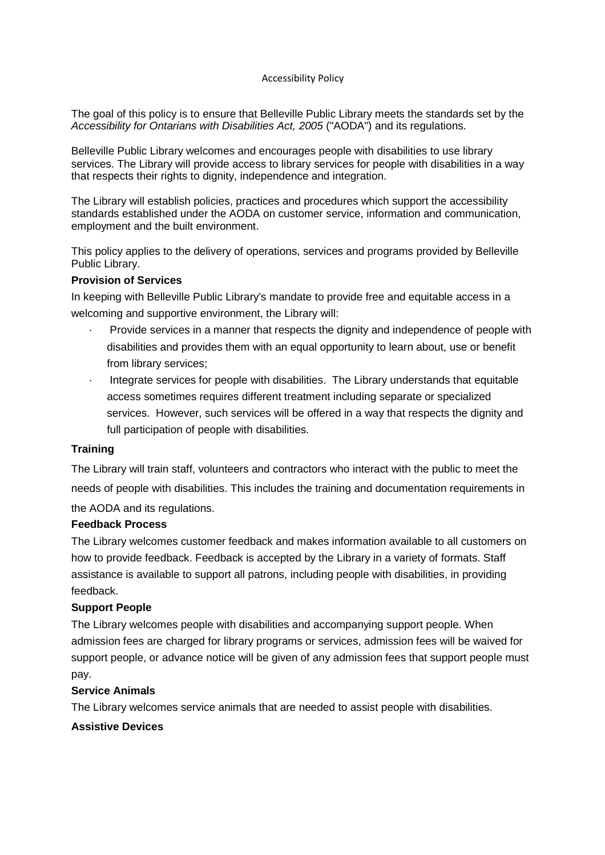### Accessibility Policy

The goal of this policy is to ensure that Belleville Public Library meets the standards set by the Accessibility for Ontarians with Disabilities Act, 2005 ("AODA") and its regulations.

Belleville Public Library welcomes and encourages people with disabilities to use library services. The Library will provide access to library services for people with disabilities in a way that respects their rights to dignity, independence and integration.

The Library will establish policies, practices and procedures which support the accessibility standards established under the AODA on customer service, information and communication, employment and the built environment.

This policy applies to the delivery of operations, services and programs provided by Belleville Public Library.

### **Provision of Services**

In keeping with Belleville Public Library's mandate to provide free and equitable access in a welcoming and supportive environment, the Library will:

- Provide services in a manner that respects the dignity and independence of people with disabilities and provides them with an equal opportunity to learn about, use or benefit from library services;
- · Integrate services for people with disabilities. The Library understands that equitable access sometimes requires different treatment including separate or specialized services. However, such services will be offered in a way that respects the dignity and full participation of people with disabilities.

### **Training**

The Library will train staff, volunteers and contractors who interact with the public to meet the needs of people with disabilities. This includes the training and documentation requirements in the AODA and its regulations.

### **Feedback Process**

The Library welcomes customer feedback and makes information available to all customers on how to provide feedback. Feedback is accepted by the Library in a variety of formats. Staff assistance is available to support all patrons, including people with disabilities, in providing feedback.

### **Support People**

The Library welcomes people with disabilities and accompanying support people. When admission fees are charged for library programs or services, admission fees will be waived for support people, or advance notice will be given of any admission fees that support people must pay.

## **Service Animals**

The Library welcomes service animals that are needed to assist people with disabilities.

## **Assistive Devices**